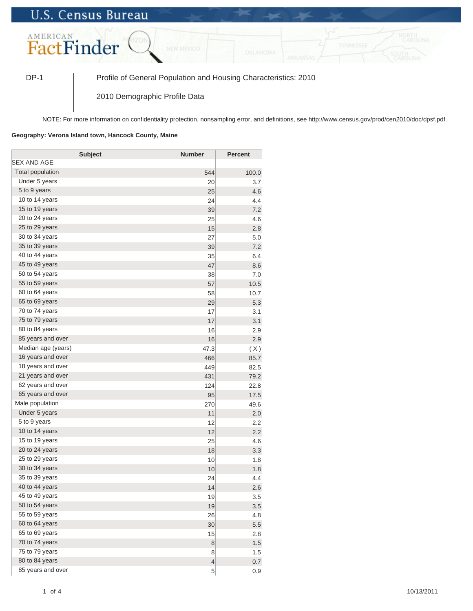## **U.S. Census Bureau**



DP-1 Profile of General Population and Housing Characteristics: 2010

2010 Demographic Profile Data

NOTE: For more information on confidentiality protection, nonsampling error, and definitions, see http://www.census.gov/prod/cen2010/doc/dpsf.pdf.

## **Geography: Verona Island town, Hancock County, Maine**

| <b>Subject</b>     | <b>Number</b>            | <b>Percent</b> |
|--------------------|--------------------------|----------------|
| SEX AND AGE        |                          |                |
| Total population   | 544                      | 100.0          |
| Under 5 years      | 20                       | 3.7            |
| 5 to 9 years       | 25                       | 4.6            |
| 10 to 14 years     | 24                       | 4.4            |
| 15 to 19 years     | 39                       | 7.2            |
| 20 to 24 years     | 25                       | 4.6            |
| 25 to 29 years     | 15                       | 2.8            |
| 30 to 34 years     | 27                       | 5.0            |
| 35 to 39 years     | 39                       | 7.2            |
| 40 to 44 years     | 35                       | 6.4            |
| 45 to 49 years     | 47                       | 8.6            |
| 50 to 54 years     | 38                       | 7.0            |
| 55 to 59 years     | 57                       | 10.5           |
| 60 to 64 years     | 58                       | 10.7           |
| 65 to 69 years     | 29                       | 5.3            |
| 70 to 74 years     | 17                       | 3.1            |
| 75 to 79 years     | 17                       | 3.1            |
| 80 to 84 years     | 16                       | 2.9            |
| 85 years and over  | 16                       | 2.9            |
| Median age (years) | 47.3                     | (X)            |
| 16 years and over  | 466                      | 85.7           |
| 18 years and over  | 449                      | 82.5           |
| 21 years and over  | 431                      | 79.2           |
| 62 years and over  | 124                      | 22.8           |
| 65 years and over  | 95                       | 17.5           |
| Male population    | 270                      | 49.6           |
| Under 5 years      | 11                       | 2.0            |
| 5 to 9 years       | 12                       | 2.2            |
| 10 to 14 years     | 12                       | 2.2            |
| 15 to 19 years     | 25                       | 4.6            |
| 20 to 24 years     | 18                       | 3.3            |
| 25 to 29 years     | 10                       | 1.8            |
| 30 to 34 years     | 10                       | 1.8            |
| 35 to 39 years     | 24                       | 4.4            |
| 40 to 44 years     | 14                       | 2.6            |
| 45 to 49 years     | 19                       | 3.5            |
| 50 to 54 years     | 19                       | 3.5            |
| 55 to 59 years     | 26                       | 4.8            |
| 60 to 64 years     | 30                       | 5.5            |
| 65 to 69 years     | 15                       | 2.8            |
| 70 to 74 years     | $\bf 8$                  | 1.5            |
| 75 to 79 years     | 8                        | 1.5            |
| 80 to 84 years     | $\overline{\mathcal{L}}$ | 0.7            |
| 85 years and over  | $\overline{5}$           | 0.9            |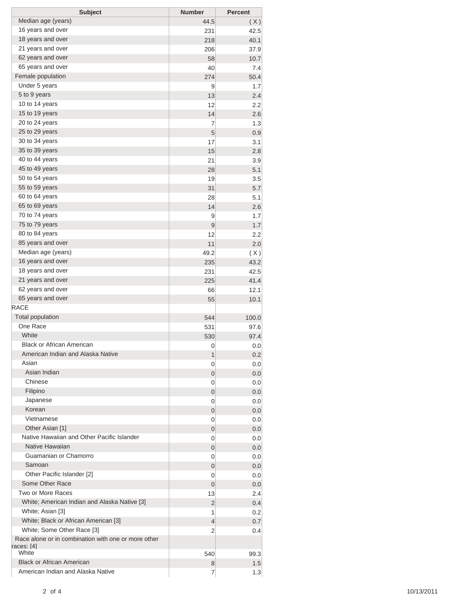| <b>Subject</b>                                                             | <b>Number</b>  | <b>Percent</b> |
|----------------------------------------------------------------------------|----------------|----------------|
| Median age (years)                                                         | 44.5           | (X)            |
| 16 years and over                                                          | 231            | 42.5           |
| 18 years and over                                                          | 218            | 40.1           |
| 21 years and over                                                          | 206            | 37.9           |
| 62 years and over                                                          | 58             | 10.7           |
| 65 years and over                                                          | 40             | 7.4            |
| Female population                                                          | 274            | 50.4           |
| Under 5 years                                                              | 9              | 1.7            |
| 5 to 9 years                                                               | 13             | 2.4            |
| 10 to 14 years                                                             | 12             | 2.2            |
| 15 to 19 years                                                             | 14             | 2.6            |
| 20 to 24 years                                                             | 7              | 1.3            |
| 25 to 29 years                                                             | 5              | 0.9            |
| 30 to 34 years                                                             | 17             | 3.1            |
| 35 to 39 years                                                             | 15             | 2.8            |
| 40 to 44 years                                                             | 21             | 3.9            |
| 45 to 49 years                                                             | 28             | 5.1            |
| 50 to 54 years                                                             | 19             | 3.5            |
| 55 to 59 years<br>60 to 64 years                                           | 31             | 5.7            |
| 65 to 69 years                                                             | 28             | 5.1            |
| 70 to 74 years                                                             | 14             | 2.6            |
| 75 to 79 years                                                             | 9<br>9         | 1.7<br>1.7     |
| 80 to 84 years                                                             | 12             | 2.2            |
| 85 years and over                                                          | 11             | 2.0            |
| Median age (years)                                                         | 49.2           |                |
| 16 years and over                                                          | 235            | (X)<br>43.2    |
| 18 years and over                                                          | 231            | 42.5           |
| 21 years and over                                                          | 225            | 41.4           |
| 62 years and over                                                          | 66             | 12.1           |
| 65 years and over                                                          | 55             | 10.1           |
| <b>RACE</b>                                                                |                |                |
| <b>Total population</b>                                                    | 544            | 100.0          |
| One Race                                                                   | 531            | 97.6           |
| White                                                                      | 530            | 97.4           |
| <b>Black or African American</b>                                           | 0              | 0.0            |
| American Indian and Alaska Native                                          | 1              | 0.2            |
| Asian                                                                      | 0              | 0.0            |
| Asian Indian                                                               | 0              | 0.0            |
| Chinese                                                                    | 0              | 0.0            |
| Filipino                                                                   | 0              | 0.0            |
| Japanese                                                                   | 0              | 0.0            |
| Korean                                                                     | 0              | 0.0            |
| Vietnamese                                                                 | 0              | 0.0            |
| Other Asian [1]                                                            | 0              | 0.0            |
| Native Hawaiian and Other Pacific Islander                                 | 0              | 0.0            |
| Native Hawaiian                                                            | 0              | 0.0            |
| Guamanian or Chamorro                                                      | 0              | 0.0            |
| Samoan                                                                     | 0              | 0.0            |
| Other Pacific Islander [2]                                                 | 0              | 0.0            |
| Some Other Race                                                            | $\overline{0}$ | 0.0            |
| Two or More Races                                                          | 13             | 2.4            |
| White; American Indian and Alaska Native [3]                               | $\overline{2}$ | 0.4            |
| White; Asian [3]                                                           | 1              | 0.2            |
| White; Black or African American [3]                                       | 4              | 0.7            |
| White; Some Other Race [3]                                                 | 2              | 0.4            |
| Race alone or in combination with one or more other<br>races: [4]<br>White | 540            | 99.3           |
| <b>Black or African American</b>                                           | 8              | 1.5            |
| American Indian and Alaska Native                                          | 7              | 1.3            |
|                                                                            |                |                |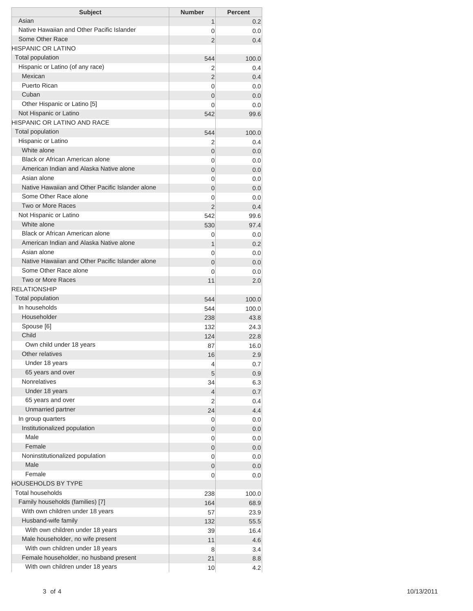| <b>Subject</b>                                   | <b>Number</b>       | <b>Percent</b> |
|--------------------------------------------------|---------------------|----------------|
| Asian                                            | 1                   | 0.2            |
| Native Hawaiian and Other Pacific Islander       | 0                   | 0.0            |
| Some Other Race                                  | $\overline{2}$      | 0.4            |
| HISPANIC OR LATINO                               |                     |                |
| <b>Total population</b>                          | 544                 | 100.0          |
| Hispanic or Latino (of any race)                 | 2                   | 0.4            |
| Mexican                                          | $\overline{2}$      | 0.4            |
| Puerto Rican                                     | 0                   | 0.0            |
| Cuban                                            | $\overline{0}$      | 0.0            |
| Other Hispanic or Latino [5]                     | 0                   | 0.0            |
| Not Hispanic or Latino                           | 542                 | 99.6           |
| <b>HISPANIC OR LATINO AND RACE</b>               |                     |                |
| <b>Total population</b>                          | 544                 | 100.0          |
| Hispanic or Latino<br>White alone                | 2                   | 0.4            |
| Black or African American alone                  | $\overline{0}$      | 0.0            |
| American Indian and Alaska Native alone          | 0                   | 0.0            |
| Asian alone                                      | $\overline{0}$<br>0 | 0.0            |
| Native Hawaiian and Other Pacific Islander alone | $\overline{0}$      | 0.0<br>0.0     |
| Some Other Race alone                            | 0                   | 0.0            |
| Two or More Races                                | $\overline{2}$      | 0.4            |
| Not Hispanic or Latino                           | 542                 | 99.6           |
| White alone                                      | 530                 | 97.4           |
| Black or African American alone                  | 0                   | 0.0            |
| American Indian and Alaska Native alone          | 1                   | 0.2            |
| Asian alone                                      | 0                   | 0.0            |
| Native Hawaiian and Other Pacific Islander alone | $\overline{0}$      | 0.0            |
| Some Other Race alone                            | $\Omega$            | 0.0            |
| Two or More Races                                | 11                  | 2.0            |
| <b>RELATIONSHIP</b>                              |                     |                |
| Total population                                 | 544                 | 100.0          |
| In households                                    | 544                 | 100.0          |
| Householder                                      | 238                 | 43.8           |
| Spouse [6]                                       | 132                 | 24.3           |
| Child                                            | 124                 | 22.8           |
| Own child under 18 years                         | 87                  | 16.0           |
| Other relatives                                  | 16                  | 2.9            |
| Under 18 years                                   | 4                   | 0.7            |
| 65 years and over                                | 5                   | 0.9            |
| <b>Nonrelatives</b>                              | 34                  | 6.3            |
| Under 18 years                                   | 4                   | 0.7            |
| 65 years and over                                | 2                   | 0.4            |
| Unmarried partner                                | 24                  | 4.4            |
| In group quarters                                | 0                   | 0.0            |
| Institutionalized population                     | 0                   | 0.0            |
| Male                                             | 0                   | 0.0            |
| Female                                           | 0                   | 0.0            |
| Noninstitutionalized population                  | 0                   | 0.0            |
| Male                                             | 0                   | 0.0            |
| Female                                           | 0                   | 0.0            |
| <b>HOUSEHOLDS BY TYPE</b>                        |                     |                |
| <b>Total households</b>                          | 238                 | 100.0          |
| Family households (families) [7]                 | 164                 | 68.9           |
| With own children under 18 years                 | 57                  | 23.9           |
| Husband-wife family                              | 132                 | 55.5           |
| With own children under 18 years                 | 39                  | 16.4           |
| Male householder, no wife present                | 11                  | 4.6            |
| With own children under 18 years                 | 8                   | 3.4            |
| Female householder, no husband present           | 21                  | 8.8            |
| With own children under 18 years                 | 10                  | 4.2            |